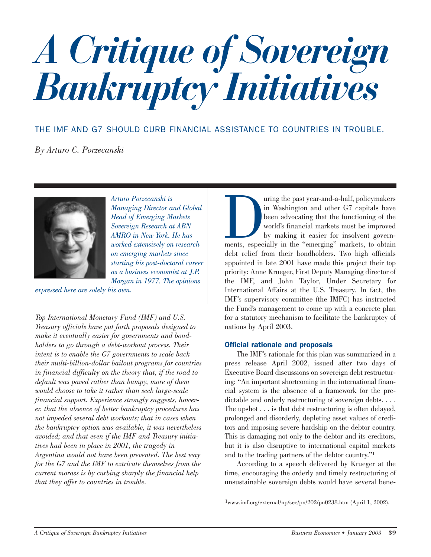# *A Critique of Sovereign Bankruptcy Initiatives*

THE IMF AND G7 SHOULD CURB FINANCIAL ASSISTANCE TO COUNTRIES IN TROUBLE.

*By Arturo C. Porzecanski*



*Arturo Porzecanski is Managing Director and Global Head of Emerging Markets Sovereign Research at ABN AMRO in New York. He has worked extensively on research on emerging markets since starting his post-doctoral career as a business economist at J.P. Morgan in 1977. The opinions*

*expressed here are solely his own.*

*Top International Monetary Fund (IMF) and U.S. Treasury officials have put forth proposals designed to make it eventually easier for governments and bondholders to go through a debt-workout process. Their intent is to enable the G7 governments to scale back their multi-billion-dollar bailout programs for countries in financial difficulty on the theory that, if the road to default was paved rather than bumpy, more of them would choose to take it rather than seek large-scale financial support. Experience strongly suggests, however, that the absence of better bankruptcy procedures has not impeded several debt workouts; that in cases when the bankruptcy option was available, it was nevertheless avoided; and that even if the IMF and Treasury initiatives had been in place in 2001, the tragedy in Argentina would not have been prevented. The best way for the G7 and the IMF to extricate themselves from the current morass is by curbing sharply the financial help that they offer to countries in trouble.*

uring the past year-and-a-half, policymakers<br>
in Washington and other G7 capitals have<br>
been advocating that the functioning of the<br>
world's financial markets must be improved<br>
by making it easier for insolvent govern-<br>
me in Washington and other G7 capitals have been advocating that the functioning of the world's financial markets must be improved by making it easier for insolvent governdebt relief from their bondholders. Two high officials appointed in late 2001 have made this project their top priority: Anne Krueger, First Deputy Managing director of the IMF, and John Taylor, Under Secretary for International Affairs at the U.S. Treasury. In fact, the IMF's supervisory committee (the IMFC) has instructed the Fund's management to come up with a concrete plan for a statutory mechanism to facilitate the bankruptcy of nations by April 2003.

#### Official rationale and proposals

The IMF's rationale for this plan was summarized in a press release April 2002, issued after two days of Executive Board discussions on sovereign debt restructuring: "An important shortcoming in the international financial system is the absence of a framework for the predictable and orderly restructuring of sovereign debts.... The upshot . . . is that debt restructuring is often delayed, prolonged and disorderly, depleting asset values of creditors and imposing severe hardship on the debtor country. This is damaging not only to the debtor and its creditors, but it is also disruptive to international capital markets and to the trading partners of the debtor country."1

According to a speech delivered by Krueger at the time, encouraging the orderly and timely restructuring of unsustainable sovereign debts would have several bene-

1www.imf.org/external/np/sec/pn/202/pn0238.htm (April 1, 2002).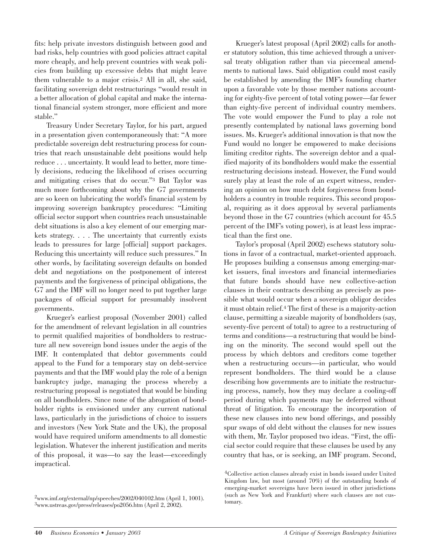fits: help private investors distinguish between good and bad risks, help countries with good policies attract capital more cheaply, and help prevent countries with weak policies from building up excessive debts that might leave them vulnerable to a major crisis.2 All in all, she said, facilitating sovereign debt restructurings "would result in a better allocation of global capital and make the international financial system stronger, more efficient and more stable."

Treasury Under Secretary Taylor, for his part, argued in a presentation given contemporaneously that: "A more predictable sovereign debt restructuring process for countries that reach unsustainable debt positions would help reduce . . . uncertainty. It would lead to better, more timely decisions, reducing the likelihood of crises occurring and mitigating crises that do occur."3 But Taylor was much more forthcoming about why the G7 governments are so keen on lubricating the world's financial system by improving sovereign bankruptcy procedures: "Limiting official sector support when countries reach unsustainable debt situations is also a key element of our emerging markets strategy. . . . The uncertainty that currently exists leads to pressures for large [official] support packages. Reducing this uncertainty will reduce such pressures." In other words, by facilitating sovereign defaults on bonded debt and negotiations on the postponement of interest payments and the forgiveness of principal obligations, the G7 and the IMF will no longer need to put together large packages of official support for presumably insolvent governments.

Krueger's earliest proposal (November 2001) called for the amendment of relevant legislation in all countries to permit qualified majorities of bondholders to restructure all new sovereign bond issues under the aegis of the IMF. It contemplated that debtor governments could appeal to the Fund for a temporary stay on debt-service payments and that the IMF would play the role of a benign bankruptcy judge, managing the process whereby a restructuring proposal is negotiated that would be binding on all bondholders. Since none of the abrogation of bondholder rights is envisioned under any current national laws, particularly in the jurisdictions of choice to issuers and investors (New York State and the UK), the proposal would have required uniform amendments to all domestic legislation. Whatever the inherent justification and merits of this proposal, it was—to say the least—exceedingly impractical.

Krueger's latest proposal (April 2002) calls for another statutory solution, this time achieved through a universal treaty obligation rather than via piecemeal amendments to national laws. Said obligation could most easily be established by amending the IMF's founding charter upon a favorable vote by those member nations accounting for eighty-five percent of total voting power—far fewer than eighty-five percent of individual country members. The vote would empower the Fund to play a role not presently contemplated by national laws governing bond issues. Ms. Krueger's additional innovation is that now the Fund would no longer be empowered to make decisions limiting creditor rights. The sovereign debtor and a qualified majority of its bondholders would make the essential restructuring decisions instead. However, the Fund would surely play at least the role of an expert witness, rendering an opinion on how much debt forgiveness from bondholders a country in trouble requires. This second proposal, requiring as it does approval by several parliaments beyond those in the G7 countries (which account for 45.5 percent of the IMF's voting power), is at least less impractical than the first one.

Taylor's proposal (April 2002) eschews statutory solutions in favor of a contractual, market-oriented approach. He proposes building a consensus among emerging-market issuers, final investors and financial intermediaries that future bonds should have new collective-action clauses in their contracts describing as precisely as possible what would occur when a sovereign obligor decides it must obtain relief.4 The first of these is a majority-action clause, permitting a sizeable majority of bondholders (say, seventy-five percent of total) to agree to a restructuring of terms and conditions—a restructuring that would be binding on the minority. The second would spell out the process by which debtors and creditors come together when a restructuring occurs—in particular, who would represent bondholders. The third would be a clause describing how governments are to initiate the restructuring process, namely, how they may declare a cooling-off period during which payments may be deferred without threat of litigation. To encourage the incorporation of these new clauses into new bond offerings, and possibly spur swaps of old debt without the clauses for new issues with them, Mr. Taylor proposed two ideas. "First, the official sector could require that these clauses be used by any country that has, or is seeking, an IMF program. Second,

<sup>2</sup>www.imf.org/external/np/speeches/2002/040102.htm (April 1, 1001). 3www.ustreas.gov/press/releases/po2056.htm (April 2, 2002).

<sup>4</sup>Collective action clauses already exist in bonds issued under United Kingdom law, but most (around 70%) of the outstanding bonds of emerging-market sovereigns have been issued in other jurisdictions (such as New York and Frankfurt) where such clauses are not customary.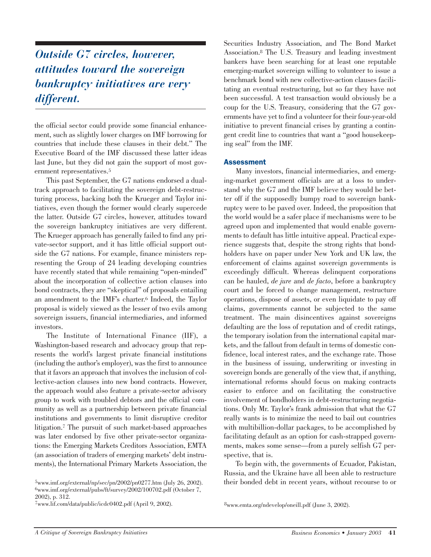### *Outside G7 circles, however, attitudes toward the sovereign bankruptcy initiatives are very different.*

the official sector could provide some financial enhancement, such as slightly lower charges on IMF borrowing for countries that include these clauses in their debt." The Executive Board of the IMF discussed these latter ideas last June, but they did not gain the support of most government representatives.5

This past September, the G7 nations endorsed a dualtrack approach to facilitating the sovereign debt-restructuring process, backing both the Krueger and Taylor initiatives, even though the former would clearly supercede the latter. Outside G7 circles, however, attitudes toward the sovereign bankruptcy initiatives are very different. The Krueger approach has generally failed to find any private-sector support, and it has little official support outside the G7 nations. For example, finance ministers representing the Group of 24 leading developing countries have recently stated that while remaining "open-minded" about the incorporation of collective action clauses into bond contracts, they are "skeptical" of proposals entailing an amendment to the IMF's charter.6 Indeed, the Taylor proposal is widely viewed as the lesser of two evils among sovereign issuers, financial intermediaries, and informed investors.

The Institute of International Finance (IIF), a Washington-based research and advocacy group that represents the world's largest private financial institutions (including the author's employer), was the first to announce that it favors an approach that involves the inclusion of collective-action clauses into new bond contracts. However, the approach would also feature a private-sector advisory group to work with troubled debtors and the official community as well as a partnership between private financial institutions and governments to limit disruptive creditor litigation.7 The pursuit of such market-based approaches was later endorsed by five other private-sector organizations: the Emerging Markets Creditors Association, EMTA (an association of traders of emerging markets' debt instruments), the International Primary Markets Association, the

7www.lif.com/data/public/icdc0402.pdf (April 9, 2002). 8www.emta.org/ndevelop/oneill.pdf (June 3, 2002).

Securities Industry Association, and The Bond Market Association.8 The U.S. Treasury and leading investment bankers have been searching for at least one reputable emerging-market sovereign willing to volunteer to issue a benchmark bond with new collective-action clauses facilitating an eventual restructuring, but so far they have not been successful. A test transaction would obviously be a coup for the U.S. Treasury, considering that the G7 governments have yet to find a volunteer for their four-year-old initiative to prevent financial crises by granting a contingent credit line to countries that want a "good housekeeping seal" from the IMF.

#### **Assessment**

Many investors, financial intermediaries, and emerging-market government officials are at a loss to understand why the G7 and the IMF believe they would be better off if the supposedly bumpy road to sovereign bankruptcy were to be paved over. Indeed, the proposition that the world would be a safer place if mechanisms were to be agreed upon and implemented that would enable governments to default has little intuitive appeal. Practical experience suggests that, despite the strong rights that bondholders have on paper under New York and UK law, the enforcement of claims against sovereign governments is exceedingly difficult. Whereas delinquent corporations can be hauled, *de jure* and *de facto*, before a bankruptcy court and be forced to change management, restructure operations, dispose of assets, or even liquidate to pay off claims, governments cannot be subjected to the same treatment. The main disincentives against sovereigns defaulting are the loss of reputation and of credit ratings, the temporary isolation from the international capital markets, and the fallout from default in terms of domestic confidence, local interest rates, and the exchange rate. Those in the business of issuing, underwriting or investing in sovereign bonds are generally of the view that, if anything, international reforms should focus on making contracts easier to enforce and on facilitating the constructive involvement of bondholders in debt-restructuring negotiations. Only Mr. Taylor's frank admission that what the G7 really wants is to minimize the need to bail out countries with multibillion-dollar packages, to be accomplished by facilitating default as an option for cash-strapped governments, makes some sense—from a purely selfish G7 perspective, that is.

To begin with, the governments of Ecuador, Pakistan, Russia, and the Ukraine have all been able to restructure their bonded debt in recent years, without recourse to or

 $5$ www.imf.org/external/np/sec/pn/2002/pn0277.htm (July 26, 2002). 6www.imf.org/external/pubs/ft/survey/2002/100702.pdf (October 7, 2002), p. 312.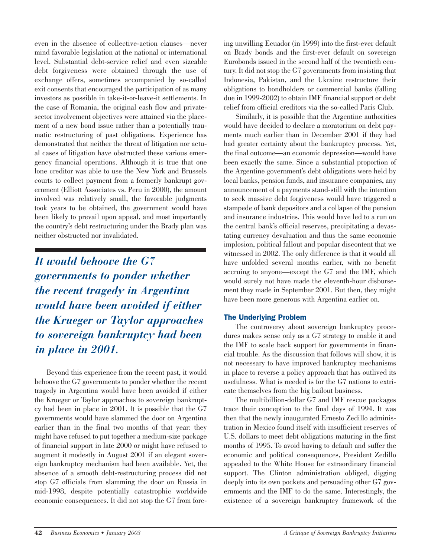even in the absence of collective-action clauses—never mind favorable legislation at the national or international level. Substantial debt-service relief and even sizeable debt forgiveness were obtained through the use of exchange offers, sometimes accompanied by so-called exit consents that encouraged the participation of as many investors as possible in take-it-or-leave-it settlements. In the case of Romania, the original cash flow and privatesector involvement objectives were attained via the placement of a new bond issue rather than a potentially traumatic restructuring of past obligations. Experience has demonstrated that neither the threat of litigation nor actual cases of litigation have obstructed these various emergency financial operations. Although it is true that one lone creditor was able to use the New York and Brussels courts to collect payment from a formerly bankrupt government (Elliott Associates vs. Peru in 2000), the amount involved was relatively small, the favorable judgments took years to be obtained, the government would have been likely to prevail upon appeal, and most importantly the country's debt restructuring under the Brady plan was neither obstructed nor invalidated.

*It would behoove the G7 governments to ponder whether the recent tragedy in Argentina would have been avoided if either the Krueger or Taylor approaches to sovereign bankruptcy had been in place in 2001.* 

Beyond this experience from the recent past, it would behoove the G7 governments to ponder whether the recent tragedy in Argentina would have been avoided if either the Krueger or Taylor approaches to sovereign bankruptcy had been in place in 2001. It is possible that the G7 governments would have slammed the door on Argentina earlier than in the final two months of that year: they might have refused to put together a medium-size package of financial support in late 2000 or might have refused to augment it modestly in August 2001 if an elegant sovereign bankruptcy mechanism had been available. Yet, the absence of a smooth debt-restructuring process did not stop G7 officials from slamming the door on Russia in mid-1998, despite potentially catastrophic worldwide economic consequences. It did not stop the G7 from forcing unwilling Ecuador (in 1999) into the first-ever default on Brady bonds and the first-ever default on sovereign Eurobonds issued in the second half of the twentieth century. It did not stop the G7 governments from insisting that Indonesia, Pakistan, and the Ukraine restructure their obligations to bondholders or commercial banks (falling due in 1999-2002) to obtain IMF financial support or debt relief from official creditors via the so-called Paris Club.

Similarly, it is possible that the Argentine authorities would have decided to declare a moratorium on debt payments much earlier than in December 2001 if they had had greater certainty about the bankruptcy process. Yet, the final outcome—an economic depression—would have been exactly the same. Since a substantial proportion of the Argentine government's debt obligations were held by local banks, pension funds, and insurance companies, any announcement of a payments stand-still with the intention to seek massive debt forgiveness would have triggered a stampede of bank depositors and a collapse of the pension and insurance industries. This would have led to a run on the central bank's official reserves, precipitating a devastating currency devaluation and thus the same economic implosion, political fallout and popular discontent that we witnessed in 2002. The only difference is that it would all have unfolded several months earlier, with no benefit accruing to anyone—except the G7 and the IMF, which would surely not have made the eleventh-hour disbursement they made in September 2001. But then, they might have been more generous with Argentina earlier on.

#### The Underlying Problem

The controversy about sovereign bankruptcy procedures makes sense only as a G7 strategy to enable it and the IMF to scale back support for governments in financial trouble. As the discussion that follows will show, it is not necessary to have improved bankruptcy mechanisms in place to reverse a policy approach that has outlived its usefulness. What is needed is for the G7 nations to extricate themselves from the big bailout business.

The multibillion-dollar G7 and IMF rescue packages trace their conception to the final days of 1994. It was then that the newly inaugurated Ernesto Zedillo administration in Mexico found itself with insufficient reserves of U.S. dollars to meet debt obligations maturing in the first months of 1995. To avoid having to default and suffer the economic and political consequences, President Zedillo appealed to the White House for extraordinary financial support. The Clinton administration obliged, digging deeply into its own pockets and persuading other G7 governments and the IMF to do the same. Interestingly, the existence of a sovereign bankruptcy framework of the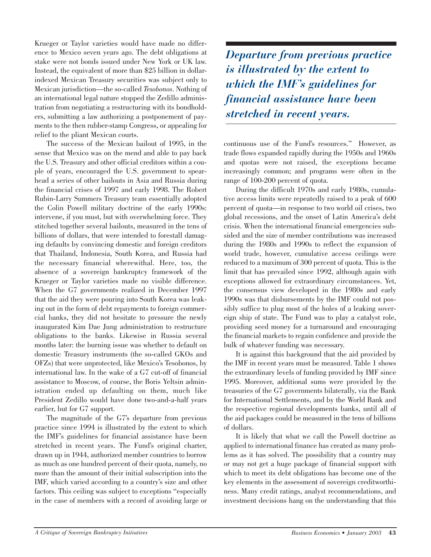Krueger or Taylor varieties would have made no difference to Mexico seven years ago. The debt obligations at stake were not bonds issued under New York or UK law. Instead, the equivalent of more than \$25 billion in dollarindexed Mexican Treasury securities was subject only to Mexican jurisdiction—the so-called *Tesobonos*. Nothing of an international legal nature stopped the Zedillo administration from negotiating a restructuring with its bondholders, submitting a law authorizing a postponement of payments to the then rubber-stamp Congress, or appealing for relief to the pliant Mexican courts.

The success of the Mexican bailout of 1995, in the sense that Mexico was on the mend and able to pay back the U.S. Treasury and other official creditors within a couple of years, encouraged the U.S. government to spearhead a series of other bailouts in Asia and Russia during the financial crises of 1997 and early 1998. The Robert Rubin-Larry Summers Treasury team essentially adopted the Colin Powell military doctrine of the early 1990s: intervene, if you must, but with overwhelming force. They stitched together several bailouts, measured in the tens of billions of dollars, that were intended to forestall damaging defaults by convincing domestic and foreign creditors that Thailand, Indonesia, South Korea, and Russia had the necessary financial wherewithal. Here, too, the absence of a sovereign bankruptcy framework of the Krueger or Taylor varieties made no visible difference. When the G7 governments realized in December 1997 that the aid they were pouring into South Korea was leaking out in the form of debt repayments to foreign commercial banks, they did not hesitate to pressure the newly inaugurated Kim Dae Jung administration to restructure obligations to the banks. Likewise in Russia several months later: the burning issue was whether to default on domestic Treasury instruments (the so-called GKOs and OFZs) that were unprotected, like Mexico's Tesobonos, by international law. In the wake of a G7 cut-off of financial assistance to Moscow, of course, the Boris Yeltsin administration ended up defaulting on them, much like President Zedillo would have done two-and-a-half years earlier, but for G7 support.

The magnitude of the G7's departure from previous practice since 1994 is illustrated by the extent to which the IMF's guidelines for financial assistance have been stretched in recent years. The Fund's original charter, drawn up in 1944, authorized member countries to borrow as much as one hundred percent of their quota, namely, no more than the amount of their initial subscription into the IMF, which varied according to a country's size and other factors. This ceiling was subject to exceptions "especially in the case of members with a record of avoiding large or

*Departure from previous practice is illustrated by the extent to which the IMF's guidelines for financial assistance have been stretched in recent years.*

continuous use of the Fund's resources." However, as trade flows expanded rapidly during the 1950s and 1960s and quotas were not raised, the exceptions became increasingly common; and programs were often in the range of 100-200 percent of quota.

During the difficult 1970s and early 1980s, cumulative access limits were repeatedly raised to a peak of 600 percent of quota—in response to two world oil crises, two global recessions, and the onset of Latin America's debt crisis. When the international financial emergencies subsided and the size of member contributions was increased during the 1980s and 1990s to reflect the expansion of world trade, however, cumulative access ceilings were reduced to a maximum of 300 percent of quota. This is the limit that has prevailed since 1992, although again with exceptions allowed for extraordinary circumstances. Yet, the consensus view developed in the 1980s and early 1990s was that disbursements by the IMF could not possibly suffice to plug most of the holes of a leaking sovereign ship of state. The Fund was to play a catalyst role, providing seed money for a turnaround and encouraging the financial markets to regain confidence and provide the bulk of whatever funding was necessary.

It is against this background that the aid provided by the IMF in recent years must be measured. Table 1 shows the extraordinary levels of funding provided by IMF since 1995. Moreover, additional sums were provided by the treasuries of the G7 governments bilaterally, via the Bank for International Settlements, and by the World Bank and the respective regional developments banks, until all of the aid packages could be measured in the tens of billions of dollars.

It is likely that what we call the Powell doctrine as applied to international finance has created as many problems as it has solved. The possibility that a country may or may not get a huge package of financial support with which to meet its debt obligations has become one of the key elements in the assessment of sovereign creditworthiness. Many credit ratings, analyst recommendations, and investment decisions hang on the understanding that this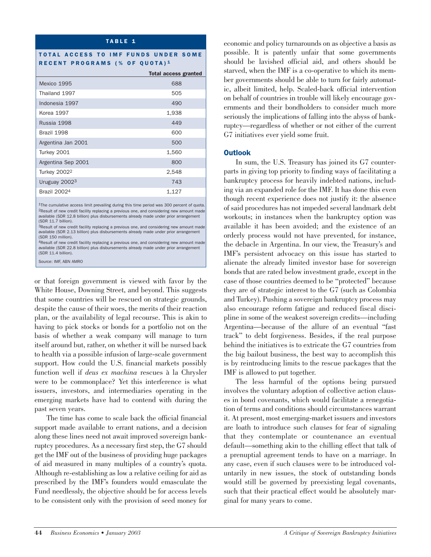#### TABLE 1

#### TOTAL ACCESS TO IMF FUNDS UNDER SOME RECENT PROGRAMS (% OF QUOTA) 1

|                           | <b>Total access granted</b> |
|---------------------------|-----------------------------|
| Mexico 1995               | 688                         |
| Thailand 1997             | 505                         |
| Indonesia 1997            | 490                         |
| <b>Korea 1997</b>         | 1,938                       |
| Russia 1998               | 449                         |
| Brazil 1998               | 600                         |
| Argentina Jan 2001        | 500                         |
| Turkey 2001               | 1,560                       |
| Argentina Sep 2001        | 800                         |
| <b>Turkey 20022</b>       | 2,548                       |
| Uruguay 2002 <sup>3</sup> | 743                         |
| <b>Brazil 20024</b>       | 1,127                       |

1The cumulative access limit prevailing during this time period was 300 percent of quota 2Result of new credit facility replacing a previous one, and considering new amount made available (SDR 12.8 billion) plus disbursements already made under prior arrangement (SDR 11.7 billion).

3Result of new credit facility replacing a previous one, and considering new amount made available (SDR 2.13 billion) plus disbursements already made under prior arrangement (SDR 150 million).

4Result of new credit facility replacing a previous one, and considering new amount made available (SDR 22.8 billion) plus disbursements already made under prior arrangement (SDR 11.4 billion).

Source: IMF, ABN AMRO

or that foreign government is viewed with favor by the White House, Downing Street, and beyond. This suggests that some countries will be rescued on strategic grounds, despite the cause of their woes, the merits of their reaction plan, or the availability of legal recourse. This is akin to having to pick stocks or bonds for a portfolio not on the basis of whether a weak company will manage to turn itself around but, rather, on whether it will be nursed back to health via a possible infusion of large-scale government support. How could the U.S. financial markets possibly function well if *deus ex machina* rescues à la Chrysler were to be commonplace? Yet this interference is what issuers, investors, and intermediaries operating in the emerging markets have had to contend with during the past seven years.

The time has come to scale back the official financial support made available to errant nations, and a decision along these lines need not await improved sovereign bankruptcy procedures. As a necessary first step, the G7 should get the IMF out of the business of providing huge packages of aid measured in many multiples of a country's quota. Although re-establishing as low a relative ceiling for aid as prescribed by the IMF's founders would emasculate the Fund needlessly, the objective should be for access levels to be consistent only with the provision of seed money for economic and policy turnarounds on as objective a basis as possible. It is patently unfair that some governments should be lavished official aid, and others should be starved, when the IMF is a co-operative to which its member governments should be able to turn for fairly automatic, albeit limited, help. Scaled-back official intervention on behalf of countries in trouble will likely encourage governments and their bondholders to consider much more seriously the implications of falling into the abyss of bankruptcy—regardless of whether or not either of the current G7 initiatives ever yield some fruit.

#### **Outlook**

In sum, the U.S. Treasury has joined its G7 counterparts in giving top priority to finding ways of facilitating a bankruptcy process for heavily indebted nations, including via an expanded role for the IMF. It has done this even though recent experience does not justify it: the absence of said procedures has not impeded several landmark debt workouts; in instances when the bankruptcy option was available it has been avoided; and the existence of an orderly process would not have prevented, for instance, the debacle in Argentina. In our view, the Treasury's and IMF's persistent advocacy on this issue has started to alienate the already limited investor base for sovereign bonds that are rated below investment grade, except in the case of those countries deemed to be "protected" because they are of strategic interest to the G7 (such as Colombia and Turkey). Pushing a sovereign bankruptcy process may also encourage reform fatigue and reduced fiscal discipline in some of the weakest sovereign credits—including Argentina—because of the allure of an eventual "fast track" to debt forgiveness. Besides, if the real purpose behind the initiatives is to extricate the G7 countries from the big bailout business, the best way to accomplish this is by reintroducing limits to the rescue packages that the IMF is allowed to put together.

The less harmful of the options being pursued involves the voluntary adoption of collective action clauses in bond covenants, which would facilitate a renegotiation of terms and conditions should circumstances warrant it. At present, most emerging-market issuers and investors are loath to introduce such clauses for fear of signaling that they contemplate or countenance an eventual default—something akin to the chilling effect that talk of a prenuptial agreement tends to have on a marriage. In any case, even if such clauses were to be introduced voluntarily in new issues, the stock of outstanding bonds would still be governed by preexisting legal covenants, such that their practical effect would be absolutely marginal for many years to come.